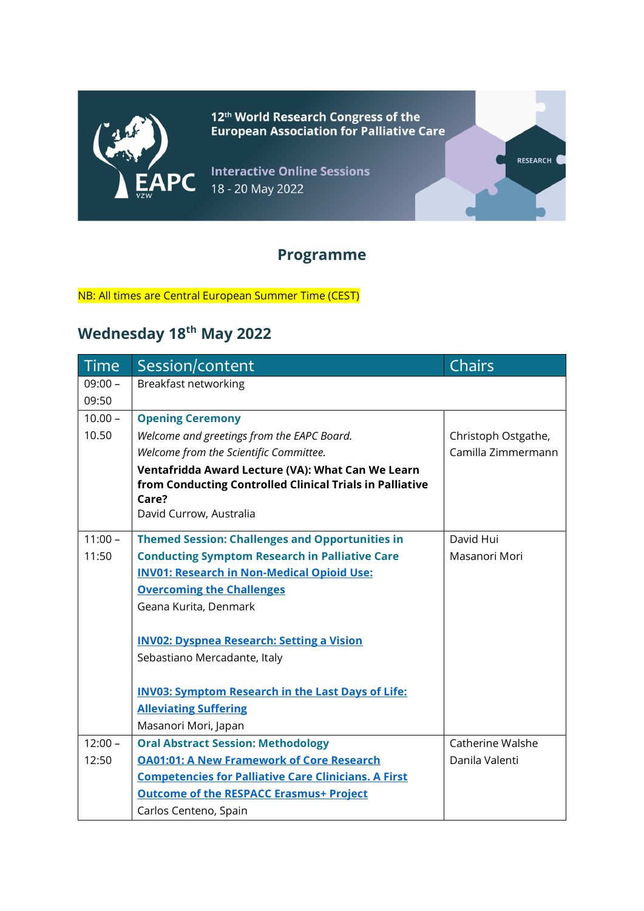

12<sup>th</sup> World Research Congress of the<br>European Association for Palliative Care

RESEARCH<sup>(</sup>

**Interactive Online Sessions** 18 - 20 May 2022

### **Programme**

#### NB: All times are Central European Summer Time (CEST)

## **Wednesday 18th May 2022**

| <b>Time</b> | Session/content                                             | Chairs              |
|-------------|-------------------------------------------------------------|---------------------|
| $09:00 -$   | Breakfast networking                                        |                     |
| 09:50       |                                                             |                     |
| $10.00 -$   | <b>Opening Ceremony</b>                                     |                     |
| 10.50       | Welcome and greetings from the EAPC Board.                  | Christoph Ostgathe, |
|             | Welcome from the Scientific Committee.                      | Camilla Zimmermann  |
|             | Ventafridda Award Lecture (VA): What Can We Learn           |                     |
|             | from Conducting Controlled Clinical Trials in Palliative    |                     |
|             | Care?                                                       |                     |
|             | David Currow, Australia                                     |                     |
| $11:00 -$   | <b>Themed Session: Challenges and Opportunities in</b>      | David Hui           |
| 11:50       | <b>Conducting Symptom Research in Palliative Care</b>       | Masanori Mori       |
|             | <b>INV01: Research in Non-Medical Opioid Use:</b>           |                     |
|             | <b>Overcoming the Challenges</b>                            |                     |
|             | Geana Kurita, Denmark                                       |                     |
|             |                                                             |                     |
|             | <b>INV02: Dyspnea Research: Setting a Vision</b>            |                     |
|             | Sebastiano Mercadante, Italy                                |                     |
|             |                                                             |                     |
|             | <b>INV03: Symptom Research in the Last Days of Life:</b>    |                     |
|             | <b>Alleviating Suffering</b>                                |                     |
|             | Masanori Mori, Japan                                        |                     |
| $12:00 -$   | <b>Oral Abstract Session: Methodology</b>                   | Catherine Walshe    |
| 12:50       | <b>OA01:01: A New Framework of Core Research</b>            | Danila Valenti      |
|             | <b>Competencies for Palliative Care Clinicians. A First</b> |                     |
|             | <b>Outcome of the RESPACC Erasmus+ Project</b>              |                     |
|             | Carlos Centeno, Spain                                       |                     |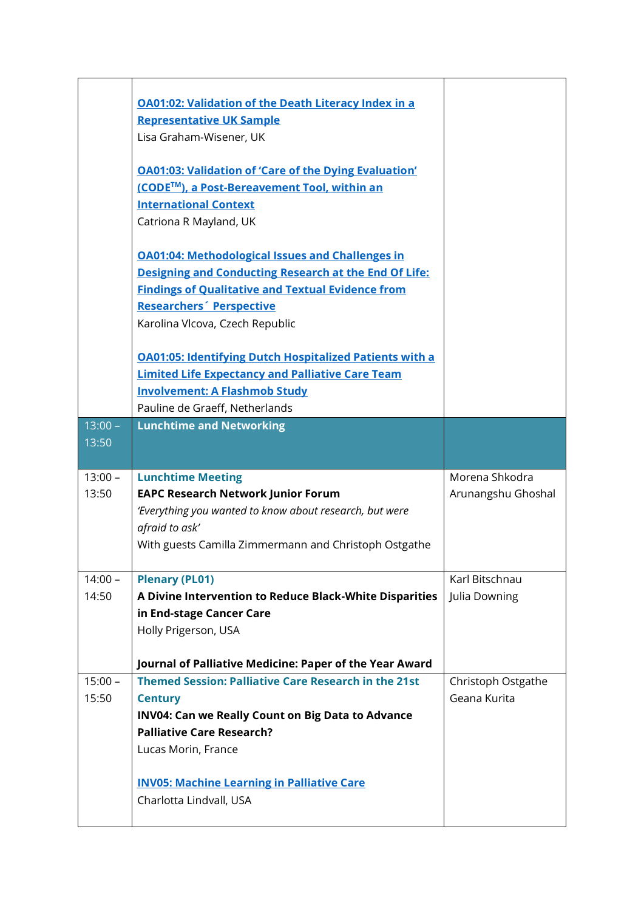|           | <b>OA01:02: Validation of the Death Literacy Index in a</b><br><b>Representative UK Sample</b><br>Lisa Graham-Wisener, UK<br><b>OA01:03: Validation of 'Care of the Dying Evaluation'</b><br>(CODE™), a Post-Bereavement Tool, within an<br><b>International Context</b><br>Catriona R Mayland, UK<br><b>OA01:04: Methodological Issues and Challenges in</b><br>Designing and Conducting Research at the End Of Life: |                    |
|-----------|------------------------------------------------------------------------------------------------------------------------------------------------------------------------------------------------------------------------------------------------------------------------------------------------------------------------------------------------------------------------------------------------------------------------|--------------------|
|           | <b>Findings of Qualitative and Textual Evidence from</b>                                                                                                                                                                                                                                                                                                                                                               |                    |
|           | Researchers <sup>®</sup> Perspective<br>Karolina Vlcova, Czech Republic                                                                                                                                                                                                                                                                                                                                                |                    |
|           |                                                                                                                                                                                                                                                                                                                                                                                                                        |                    |
|           | <b>OA01:05: Identifying Dutch Hospitalized Patients with a</b>                                                                                                                                                                                                                                                                                                                                                         |                    |
|           | <b>Limited Life Expectancy and Palliative Care Team</b>                                                                                                                                                                                                                                                                                                                                                                |                    |
|           | <b>Involvement: A Flashmob Study</b>                                                                                                                                                                                                                                                                                                                                                                                   |                    |
| $13:00 -$ | Pauline de Graeff, Netherlands<br><b>Lunchtime and Networking</b>                                                                                                                                                                                                                                                                                                                                                      |                    |
| 13:50     |                                                                                                                                                                                                                                                                                                                                                                                                                        |                    |
| $13:00 -$ | <b>Lunchtime Meeting</b>                                                                                                                                                                                                                                                                                                                                                                                               | Morena Shkodra     |
| 13:50     | <b>EAPC Research Network Junior Forum</b>                                                                                                                                                                                                                                                                                                                                                                              | Arunangshu Ghoshal |
|           | 'Everything you wanted to know about research, but were<br>afraid to ask'                                                                                                                                                                                                                                                                                                                                              |                    |
|           | With guests Camilla Zimmermann and Christoph Ostgathe                                                                                                                                                                                                                                                                                                                                                                  |                    |
|           |                                                                                                                                                                                                                                                                                                                                                                                                                        |                    |
| $14:00 -$ |                                                                                                                                                                                                                                                                                                                                                                                                                        |                    |
|           | <b>Plenary (PL01)</b>                                                                                                                                                                                                                                                                                                                                                                                                  | Karl Bitschnau     |
| 14:50     | A Divine Intervention to Reduce Black-White Disparities                                                                                                                                                                                                                                                                                                                                                                | Julia Downing      |
|           | in End-stage Cancer Care                                                                                                                                                                                                                                                                                                                                                                                               |                    |
|           | Holly Prigerson, USA                                                                                                                                                                                                                                                                                                                                                                                                   |                    |
|           | Journal of Palliative Medicine: Paper of the Year Award                                                                                                                                                                                                                                                                                                                                                                |                    |
| $15:00 -$ | <b>Themed Session: Palliative Care Research in the 21st</b>                                                                                                                                                                                                                                                                                                                                                            | Christoph Ostgathe |
| 15:50     | <b>Century</b>                                                                                                                                                                                                                                                                                                                                                                                                         | Geana Kurita       |
|           | INV04: Can we Really Count on Big Data to Advance                                                                                                                                                                                                                                                                                                                                                                      |                    |
|           | <b>Palliative Care Research?</b>                                                                                                                                                                                                                                                                                                                                                                                       |                    |
|           | Lucas Morin, France                                                                                                                                                                                                                                                                                                                                                                                                    |                    |
|           | <b>INV05: Machine Learning in Palliative Care</b>                                                                                                                                                                                                                                                                                                                                                                      |                    |
|           | Charlotta Lindvall, USA                                                                                                                                                                                                                                                                                                                                                                                                |                    |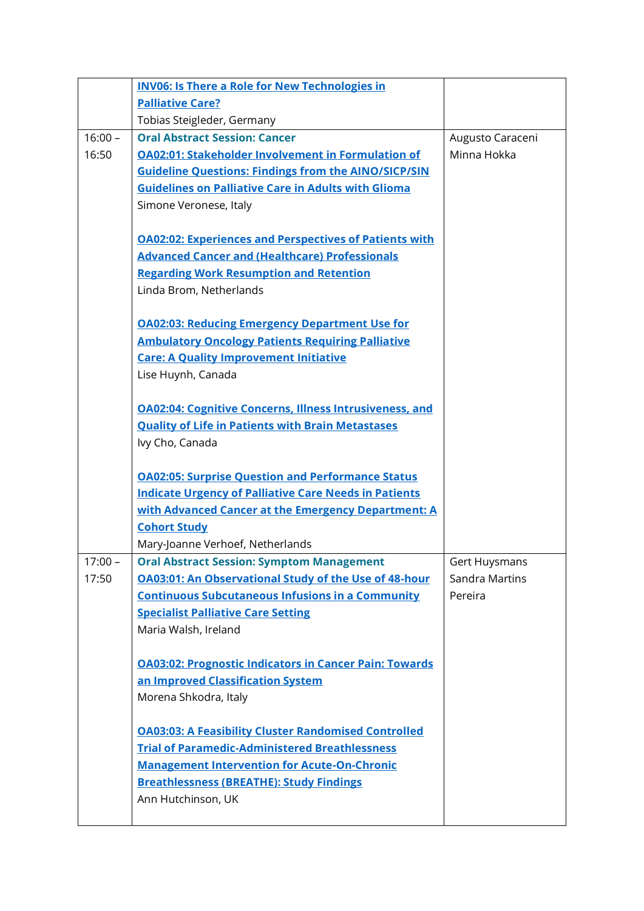|           | <b>INV06: Is There a Role for New Technologies in</b>          |                       |
|-----------|----------------------------------------------------------------|-----------------------|
|           | <b>Palliative Care?</b>                                        |                       |
|           | Tobias Steigleder, Germany                                     |                       |
| $16:00 -$ | <b>Oral Abstract Session: Cancer</b>                           | Augusto Caraceni      |
| 16:50     | <b>OA02:01: Stakeholder Involvement in Formulation of</b>      | Minna Hokka           |
|           | <b>Guideline Questions: Findings from the AINO/SICP/SIN</b>    |                       |
|           | <b>Guidelines on Palliative Care in Adults with Glioma</b>     |                       |
|           | Simone Veronese, Italy                                         |                       |
|           |                                                                |                       |
|           | <b>OA02:02: Experiences and Perspectives of Patients with</b>  |                       |
|           | <b>Advanced Cancer and (Healthcare) Professionals</b>          |                       |
|           | <b>Regarding Work Resumption and Retention</b>                 |                       |
|           | Linda Brom, Netherlands                                        |                       |
|           |                                                                |                       |
|           | <b>OA02:03: Reducing Emergency Department Use for</b>          |                       |
|           | <b>Ambulatory Oncology Patients Requiring Palliative</b>       |                       |
|           | <b>Care: A Quality Improvement Initiative</b>                  |                       |
|           | Lise Huynh, Canada                                             |                       |
|           |                                                                |                       |
|           | <b>OA02:04: Cognitive Concerns, Illness Intrusiveness, and</b> |                       |
|           | <b>Quality of Life in Patients with Brain Metastases</b>       |                       |
|           | Ivy Cho, Canada                                                |                       |
|           |                                                                |                       |
|           | <b>OA02:05: Surprise Question and Performance Status</b>       |                       |
|           | <b>Indicate Urgency of Palliative Care Needs in Patients</b>   |                       |
|           | with Advanced Cancer at the Emergency Department: A            |                       |
|           | <b>Cohort Study</b>                                            |                       |
|           | Mary-Joanne Verhoef, Netherlands                               |                       |
| $17:00 -$ | <b>Oral Abstract Session: Symptom Management</b>               | Gert Huysmans         |
| 17:50     | <b>OA03:01: An Observational Study of the Use of 48-hour</b>   | <b>Sandra Martins</b> |
|           | <b>Continuous Subcutaneous Infusions in a Community</b>        | Pereira               |
|           | <b>Specialist Palliative Care Setting</b>                      |                       |
|           | Maria Walsh, Ireland                                           |                       |
|           | <b>OA03:02: Prognostic Indicators in Cancer Pain: Towards</b>  |                       |
|           | an Improved Classification System                              |                       |
|           | Morena Shkodra, Italy                                          |                       |
|           |                                                                |                       |
|           | <b>OA03:03: A Feasibility Cluster Randomised Controlled</b>    |                       |
|           | <b>Trial of Paramedic-Administered Breathlessness</b>          |                       |
|           | <b>Management Intervention for Acute-On-Chronic</b>            |                       |
|           | <b>Breathlessness (BREATHE): Study Findings</b>                |                       |
|           | Ann Hutchinson, UK                                             |                       |
|           |                                                                |                       |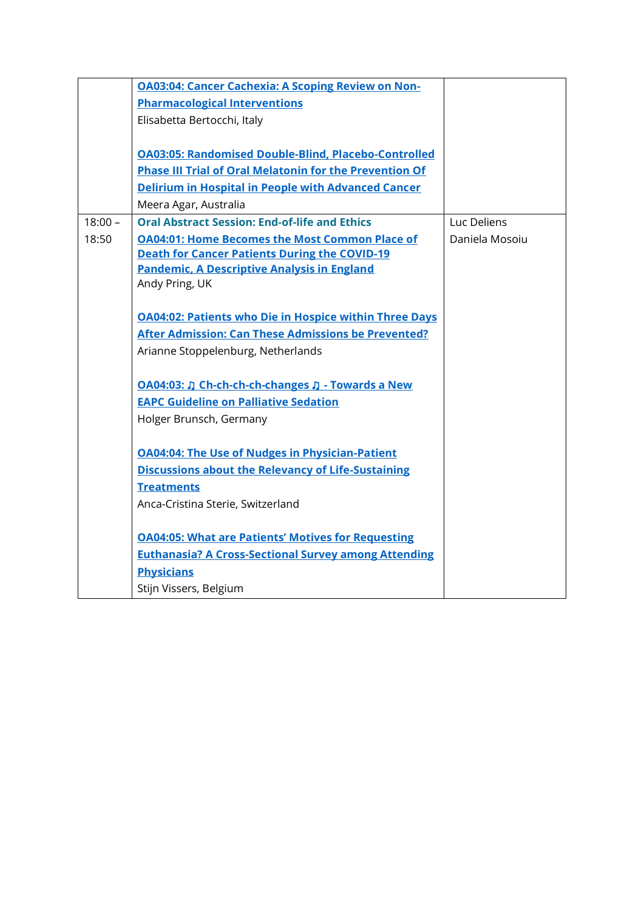|           | <b>OA03:04: Cancer Cachexia: A Scoping Review on Non-</b>      |                |
|-----------|----------------------------------------------------------------|----------------|
|           | <b>Pharmacological Interventions</b>                           |                |
|           | Elisabetta Bertocchi, Italy                                    |                |
|           |                                                                |                |
|           | <b>OA03:05: Randomised Double-Blind, Placebo-Controlled</b>    |                |
|           | <b>Phase III Trial of Oral Melatonin for the Prevention Of</b> |                |
|           | <b>Delirium in Hospital in People with Advanced Cancer</b>     |                |
|           | Meera Agar, Australia                                          |                |
| $18:00 -$ | <b>Oral Abstract Session: End-of-life and Ethics</b>           | Luc Deliens    |
| 18:50     | <b>OA04:01: Home Becomes the Most Common Place of</b>          | Daniela Mosoiu |
|           | <b>Death for Cancer Patients During the COVID-19</b>           |                |
|           | <b>Pandemic, A Descriptive Analysis in England</b>             |                |
|           | Andy Pring, UK                                                 |                |
|           |                                                                |                |
|           | <b>OA04:02: Patients who Die in Hospice within Three Days</b>  |                |
|           | <b>After Admission: Can These Admissions be Prevented?</b>     |                |
|           | Arianne Stoppelenburg, Netherlands                             |                |
|           |                                                                |                |
|           | OA04:03: J Ch-ch-ch-ch-changes J - Towards a New               |                |
|           | <b>EAPC Guideline on Palliative Sedation</b>                   |                |
|           | Holger Brunsch, Germany                                        |                |
|           |                                                                |                |
|           | <b>OA04:04: The Use of Nudges in Physician-Patient</b>         |                |
|           | <b>Discussions about the Relevancy of Life-Sustaining</b>      |                |
|           | <b>Treatments</b>                                              |                |
|           | Anca-Cristina Sterie, Switzerland                              |                |
|           |                                                                |                |
|           | <b>OA04:05: What are Patients' Motives for Requesting</b>      |                |
|           | <b>Euthanasia? A Cross-Sectional Survey among Attending</b>    |                |
|           | <b>Physicians</b>                                              |                |
|           | Stijn Vissers, Belgium                                         |                |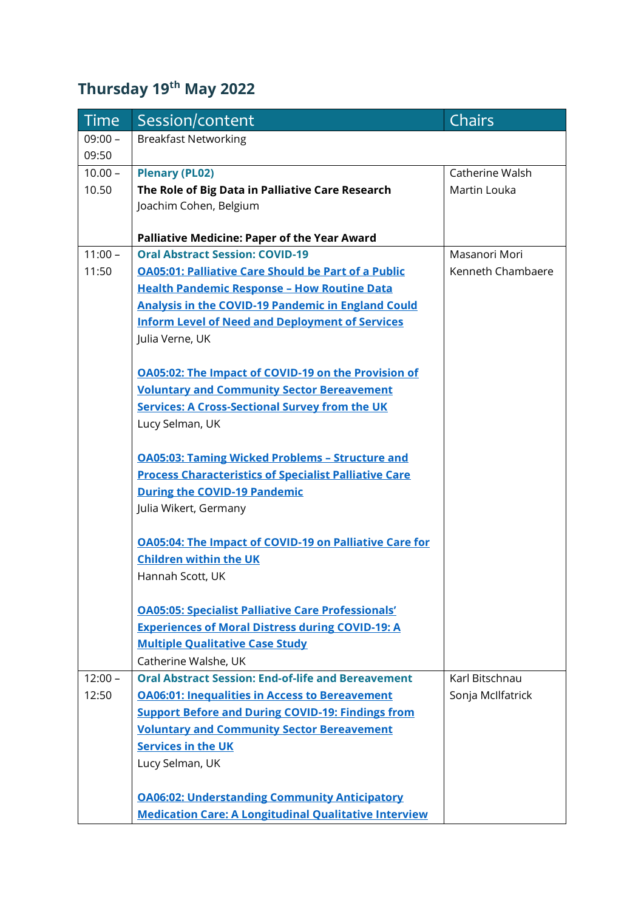## **Thursday 19th May 2022**

| <b>Time</b> | Session/content                                               | <b>Chairs</b>     |
|-------------|---------------------------------------------------------------|-------------------|
| $09:00 -$   | <b>Breakfast Networking</b>                                   |                   |
| 09:50       |                                                               |                   |
| $10.00 -$   | <b>Plenary (PL02)</b>                                         | Catherine Walsh   |
| 10.50       | The Role of Big Data in Palliative Care Research              | Martin Louka      |
|             | Joachim Cohen, Belgium                                        |                   |
|             |                                                               |                   |
|             | <b>Palliative Medicine: Paper of the Year Award</b>           |                   |
| $11:00 -$   | <b>Oral Abstract Session: COVID-19</b>                        | Masanori Mori     |
| 11:50       | <b>OA05:01: Palliative Care Should be Part of a Public</b>    | Kenneth Chambaere |
|             | <b>Health Pandemic Response - How Routine Data</b>            |                   |
|             | <b>Analysis in the COVID-19 Pandemic in England Could</b>     |                   |
|             | <b>Inform Level of Need and Deployment of Services</b>        |                   |
|             | Julia Verne, UK                                               |                   |
|             | <b>OA05:02: The Impact of COVID-19 on the Provision of</b>    |                   |
|             | <b>Voluntary and Community Sector Bereavement</b>             |                   |
|             | <b>Services: A Cross-Sectional Survey from the UK</b>         |                   |
|             | Lucy Selman, UK                                               |                   |
|             |                                                               |                   |
|             | <b>OA05:03: Taming Wicked Problems - Structure and</b>        |                   |
|             | <b>Process Characteristics of Specialist Palliative Care</b>  |                   |
|             | <b>During the COVID-19 Pandemic</b>                           |                   |
|             | Julia Wikert, Germany                                         |                   |
|             |                                                               |                   |
|             | <b>OA05:04: The Impact of COVID-19 on Palliative Care for</b> |                   |
|             | <b>Children within the UK</b>                                 |                   |
|             | Hannah Scott, UK                                              |                   |
|             | <b>OA05:05: Specialist Palliative Care Professionals'</b>     |                   |
|             | <b>Experiences of Moral Distress during COVID-19: A</b>       |                   |
|             | <b>Multiple Qualitative Case Study</b>                        |                   |
|             | Catherine Walshe, UK                                          |                   |
| $12:00 -$   | <b>Oral Abstract Session: End-of-life and Bereavement</b>     | Karl Bitschnau    |
| 12:50       | <b>OA06:01: Inequalities in Access to Bereavement</b>         | Sonja McIlfatrick |
|             | <b>Support Before and During COVID-19: Findings from</b>      |                   |
|             | <b>Voluntary and Community Sector Bereavement</b>             |                   |
|             | <b>Services in the UK</b>                                     |                   |
|             | Lucy Selman, UK                                               |                   |
|             |                                                               |                   |
|             | <b>OA06:02: Understanding Community Anticipatory</b>          |                   |
|             | <b>Medication Care: A Longitudinal Qualitative Interview</b>  |                   |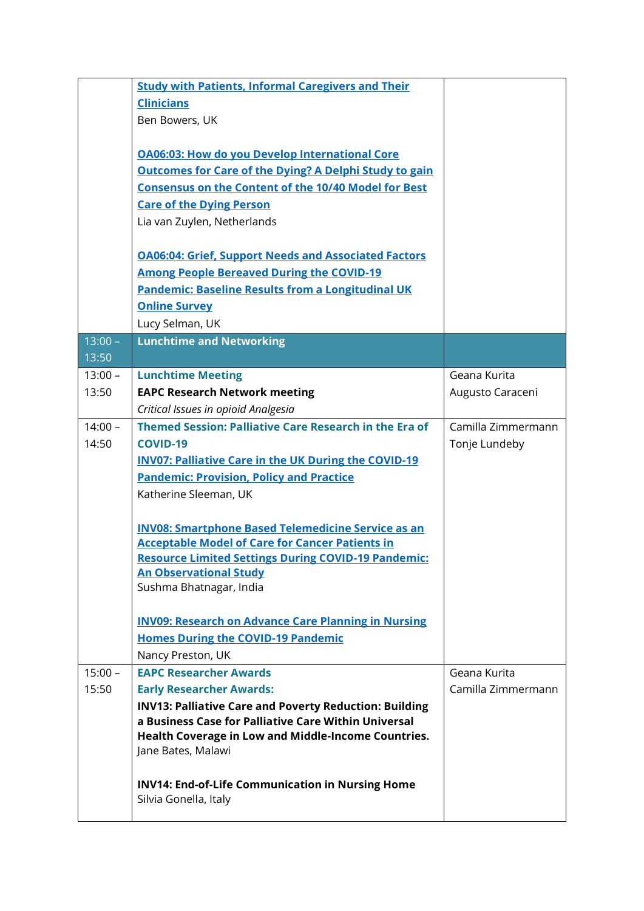|           | <b>Study with Patients, Informal Caregivers and Their</b>                                                           |                    |
|-----------|---------------------------------------------------------------------------------------------------------------------|--------------------|
|           | <b>Clinicians</b>                                                                                                   |                    |
|           | Ben Bowers, UK                                                                                                      |                    |
|           | <b>OA06:03: How do you Develop International Core</b>                                                               |                    |
|           |                                                                                                                     |                    |
|           | <b>Outcomes for Care of the Dying? A Delphi Study to gain</b>                                                       |                    |
|           | <b>Consensus on the Content of the 10/40 Model for Best</b>                                                         |                    |
|           | <b>Care of the Dying Person</b>                                                                                     |                    |
|           | Lia van Zuylen, Netherlands                                                                                         |                    |
|           | <b>OA06:04: Grief, Support Needs and Associated Factors</b>                                                         |                    |
|           | <b>Among People Bereaved During the COVID-19</b>                                                                    |                    |
|           | <b>Pandemic: Baseline Results from a Longitudinal UK</b>                                                            |                    |
|           | <b>Online Survey</b>                                                                                                |                    |
|           | Lucy Selman, UK                                                                                                     |                    |
| $13:00 -$ | <b>Lunchtime and Networking</b>                                                                                     |                    |
| 13:50     |                                                                                                                     |                    |
| $13:00 -$ | <b>Lunchtime Meeting</b>                                                                                            | Geana Kurita       |
| 13:50     | <b>EAPC Research Network meeting</b>                                                                                | Augusto Caraceni   |
|           | Critical Issues in opioid Analgesia                                                                                 |                    |
| $14:00 -$ | Themed Session: Palliative Care Research in the Era of                                                              | Camilla Zimmermann |
| 14:50     | <b>COVID-19</b>                                                                                                     | Tonje Lundeby      |
|           | <b>INV07: Palliative Care in the UK During the COVID-19</b>                                                         |                    |
|           | <b>Pandemic: Provision, Policy and Practice</b>                                                                     |                    |
|           | Katherine Sleeman, UK                                                                                               |                    |
|           |                                                                                                                     |                    |
|           | <b>INV08: Smartphone Based Telemedicine Service as an</b><br><b>Acceptable Model of Care for Cancer Patients in</b> |                    |
|           | <b>Resource Limited Settings During COVID-19 Pandemic:</b>                                                          |                    |
|           | <b>An Observational Study</b>                                                                                       |                    |
|           | Sushma Bhatnagar, India                                                                                             |                    |
|           |                                                                                                                     |                    |
|           | <b>INV09: Research on Advance Care Planning in Nursing</b>                                                          |                    |
|           | <b>Homes During the COVID-19 Pandemic</b>                                                                           |                    |
|           | Nancy Preston, UK                                                                                                   |                    |
| $15:00 -$ | <b>EAPC Researcher Awards</b>                                                                                       | Geana Kurita       |
| 15:50     | <b>Early Researcher Awards:</b>                                                                                     | Camilla Zimmermann |
|           | <b>INV13: Palliative Care and Poverty Reduction: Building</b>                                                       |                    |
|           | a Business Case for Palliative Care Within Universal                                                                |                    |
|           | Health Coverage in Low and Middle-Income Countries.                                                                 |                    |
|           | Jane Bates, Malawi                                                                                                  |                    |
|           | <b>INV14: End-of-Life Communication in Nursing Home</b>                                                             |                    |
|           | Silvia Gonella, Italy                                                                                               |                    |
|           |                                                                                                                     |                    |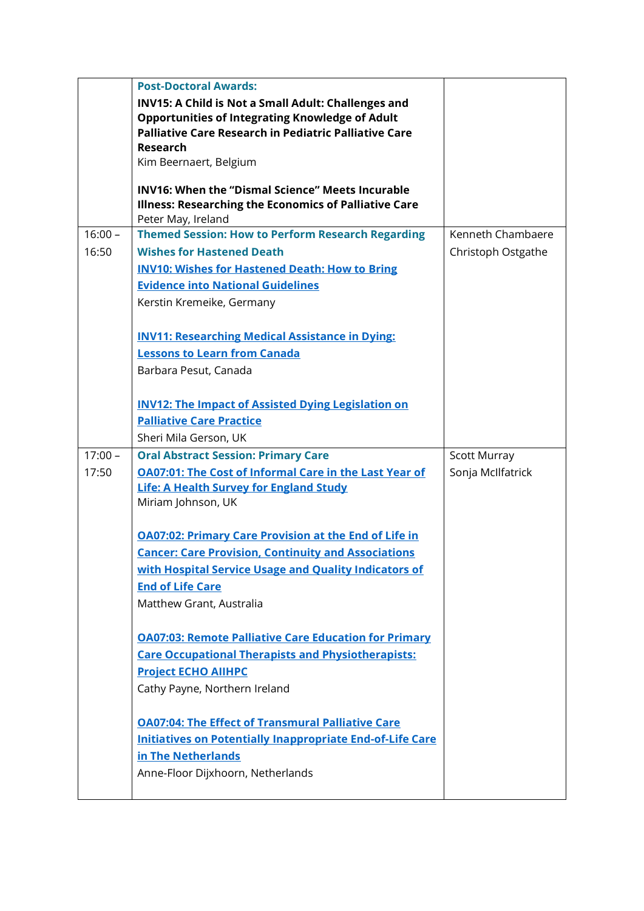|           | <b>Post-Doctoral Awards:</b>                                  |                     |
|-----------|---------------------------------------------------------------|---------------------|
|           | INV15: A Child is Not a Small Adult: Challenges and           |                     |
|           | <b>Opportunities of Integrating Knowledge of Adult</b>        |                     |
|           | <b>Palliative Care Research in Pediatric Palliative Care</b>  |                     |
|           | <b>Research</b>                                               |                     |
|           | Kim Beernaert, Belgium                                        |                     |
|           | <b>INV16: When the "Dismal Science" Meets Incurable</b>       |                     |
|           | Illness: Researching the Economics of Palliative Care         |                     |
|           | Peter May, Ireland                                            |                     |
| $16:00 -$ | <b>Themed Session: How to Perform Research Regarding</b>      | Kenneth Chambaere   |
| 16:50     | <b>Wishes for Hastened Death</b>                              | Christoph Ostgathe  |
|           | <b>INV10: Wishes for Hastened Death: How to Bring</b>         |                     |
|           | <b>Evidence into National Guidelines</b>                      |                     |
|           | Kerstin Kremeike, Germany                                     |                     |
|           |                                                               |                     |
|           | <b>INV11: Researching Medical Assistance in Dying:</b>        |                     |
|           | <b>Lessons to Learn from Canada</b>                           |                     |
|           | Barbara Pesut, Canada                                         |                     |
|           | <b>INV12: The Impact of Assisted Dying Legislation on</b>     |                     |
|           | <b>Palliative Care Practice</b>                               |                     |
|           | Sheri Mila Gerson, UK                                         |                     |
| $17:00 -$ | <b>Oral Abstract Session: Primary Care</b>                    | <b>Scott Murray</b> |
| 17:50     | <b>OA07:01: The Cost of Informal Care in the Last Year of</b> | Sonja McIlfatrick   |
|           | <b>Life: A Health Survey for England Study</b>                |                     |
|           | Miriam Johnson, UK                                            |                     |
|           |                                                               |                     |
|           | <b>OA07:02: Primary Care Provision at the End of Life in</b>  |                     |
|           | <b>Cancer: Care Provision, Continuity and Associations</b>    |                     |
|           | with Hospital Service Usage and Quality Indicators of         |                     |
|           | <b>End of Life Care</b>                                       |                     |
|           | Matthew Grant, Australia                                      |                     |
|           | <b>OA07:03: Remote Palliative Care Education for Primary</b>  |                     |
|           |                                                               |                     |
|           | <b>Care Occupational Therapists and Physiotherapists:</b>     |                     |
|           | <b>Project ECHO AIIHPC</b>                                    |                     |
|           | Cathy Payne, Northern Ireland                                 |                     |
|           | <b>OA07:04: The Effect of Transmural Palliative Care</b>      |                     |
|           | Initiatives on Potentially Inappropriate End-of-Life Care     |                     |
|           | in The Netherlands                                            |                     |
|           | Anne-Floor Dijxhoorn, Netherlands                             |                     |
|           |                                                               |                     |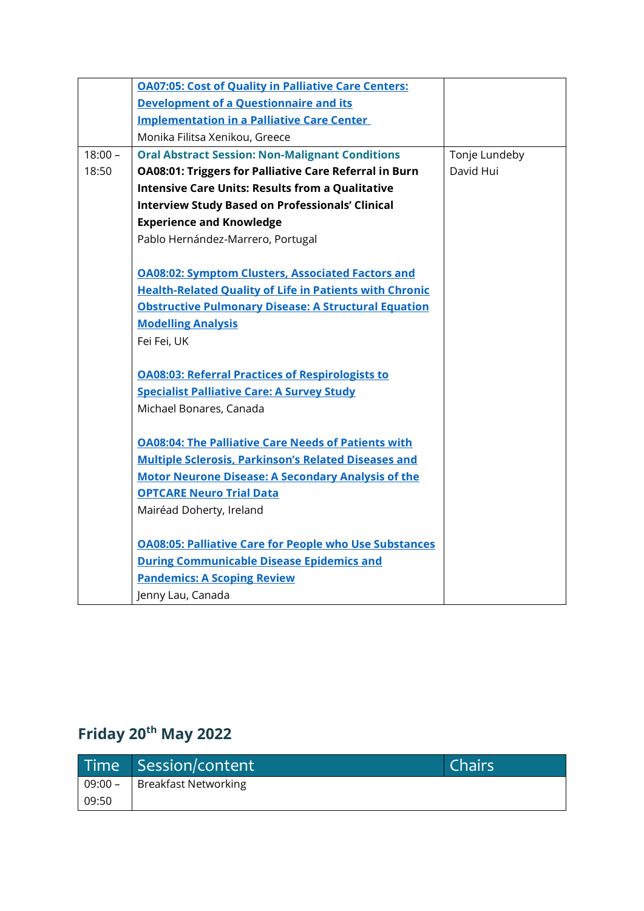|           | <b>OA07:05: Cost of Quality in Palliative Care Centers:</b>    |               |
|-----------|----------------------------------------------------------------|---------------|
|           | <b>Development of a Questionnaire and its</b>                  |               |
|           | <b>Implementation in a Palliative Care Center</b>              |               |
|           | Monika Filitsa Xenikou, Greece                                 |               |
| $18:00 -$ | <b>Oral Abstract Session: Non-Malignant Conditions</b>         | Tonje Lundeby |
| 18:50     | <b>OA08:01: Triggers for Palliative Care Referral in Burn</b>  | David Hui     |
|           | <b>Intensive Care Units: Results from a Qualitative</b>        |               |
|           | <b>Interview Study Based on Professionals' Clinical</b>        |               |
|           | <b>Experience and Knowledge</b>                                |               |
|           | Pablo Hernández-Marrero, Portugal                              |               |
|           |                                                                |               |
|           | <b>OA08:02: Symptom Clusters, Associated Factors and</b>       |               |
|           | <b>Health-Related Quality of Life in Patients with Chronic</b> |               |
|           | <b>Obstructive Pulmonary Disease: A Structural Equation</b>    |               |
|           | <b>Modelling Analysis</b>                                      |               |
|           | Fei Fei, UK                                                    |               |
|           |                                                                |               |
|           | <b>OA08:03: Referral Practices of Respirologists to</b>        |               |
|           | <b>Specialist Palliative Care: A Survey Study</b>              |               |
|           | Michael Bonares, Canada                                        |               |
|           | <b>OA08:04: The Palliative Care Needs of Patients with</b>     |               |
|           | <b>Multiple Sclerosis, Parkinson's Related Diseases and</b>    |               |
|           | <b>Motor Neurone Disease: A Secondary Analysis of the</b>      |               |
|           | <b>OPTCARE Neuro Trial Data</b>                                |               |
|           | Mairéad Doherty, Ireland                                       |               |
|           |                                                                |               |
|           | <b>OA08:05: Palliative Care for People who Use Substances</b>  |               |
|           | <b>During Communicable Disease Epidemics and</b>               |               |
|           | <b>Pandemics: A Scoping Review</b>                             |               |
|           | Jenny Lau, Canada                                              |               |

# **Friday 20th May 2022**

|       | Time Session/content           | Chairs |
|-------|--------------------------------|--------|
|       | 09:00 -   Breakfast Networking |        |
| 09:50 |                                |        |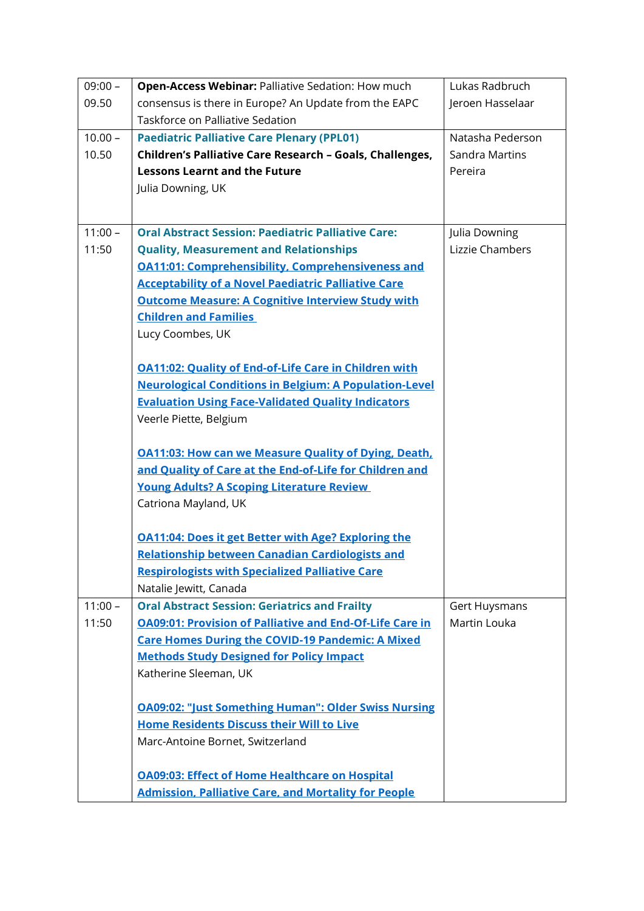| $09:00 -$ | <b>Open-Access Webinar: Palliative Sedation: How much</b>                                                            | Lukas Radbruch       |
|-----------|----------------------------------------------------------------------------------------------------------------------|----------------------|
| 09.50     | consensus is there in Europe? An Update from the EAPC                                                                | Jeroen Hasselaar     |
|           | Taskforce on Palliative Sedation                                                                                     |                      |
| $10.00 -$ | <b>Paediatric Palliative Care Plenary (PPL01)</b>                                                                    | Natasha Pederson     |
| 10.50     | Children's Palliative Care Research - Goals, Challenges,                                                             | Sandra Martins       |
|           | <b>Lessons Learnt and the Future</b>                                                                                 | Pereira              |
|           | Julia Downing, UK                                                                                                    |                      |
|           |                                                                                                                      |                      |
| $11:00 -$ | <b>Oral Abstract Session: Paediatric Palliative Care:</b>                                                            | Julia Downing        |
| 11:50     | <b>Quality, Measurement and Relationships</b>                                                                        | Lizzie Chambers      |
|           | <b>OA11:01: Comprehensibility, Comprehensiveness and</b>                                                             |                      |
|           | <b>Acceptability of a Novel Paediatric Palliative Care</b>                                                           |                      |
|           | <b>Outcome Measure: A Cognitive Interview Study with</b>                                                             |                      |
|           | <b>Children and Families</b>                                                                                         |                      |
|           | Lucy Coombes, UK                                                                                                     |                      |
|           |                                                                                                                      |                      |
|           | <b>OA11:02: Quality of End-of-Life Care in Children with</b>                                                         |                      |
|           | <b>Neurological Conditions in Belgium: A Population-Level</b>                                                        |                      |
|           | <b>Evaluation Using Face-Validated Quality Indicators</b>                                                            |                      |
|           | Veerle Piette, Belgium                                                                                               |                      |
|           |                                                                                                                      |                      |
|           | <b>OA11:03: How can we Measure Quality of Dying, Death,</b>                                                          |                      |
|           | and Quality of Care at the End-of-Life for Children and                                                              |                      |
|           | <b>Young Adults? A Scoping Literature Review</b>                                                                     |                      |
|           | Catriona Mayland, UK                                                                                                 |                      |
|           |                                                                                                                      |                      |
|           | <b>OA11:04: Does it get Better with Age? Exploring the</b>                                                           |                      |
|           | <b>Relationship between Canadian Cardiologists and</b>                                                               |                      |
|           | <b>Respirologists with Specialized Palliative Care</b>                                                               |                      |
|           | Natalie Jewitt, Canada                                                                                               |                      |
| $11:00 -$ | <b>Oral Abstract Session: Geriatrics and Frailty</b>                                                                 | <b>Gert Huysmans</b> |
| 11:50     | <b>OA09:01: Provision of Palliative and End-Of-Life Care in</b>                                                      | Martin Louka         |
|           | <b>Care Homes During the COVID-19 Pandemic: A Mixed</b>                                                              |                      |
|           | <b>Methods Study Designed for Policy Impact</b>                                                                      |                      |
|           | Katherine Sleeman, UK                                                                                                |                      |
|           |                                                                                                                      |                      |
|           | <b>OA09:02: "Just Something Human": Older Swiss Nursing</b>                                                          |                      |
|           | <b>Home Residents Discuss their Will to Live</b>                                                                     |                      |
|           | Marc-Antoine Bornet, Switzerland                                                                                     |                      |
|           |                                                                                                                      |                      |
|           | <b>OA09:03: Effect of Home Healthcare on Hospital</b><br><b>Admission, Palliative Care, and Mortality for People</b> |                      |
|           |                                                                                                                      |                      |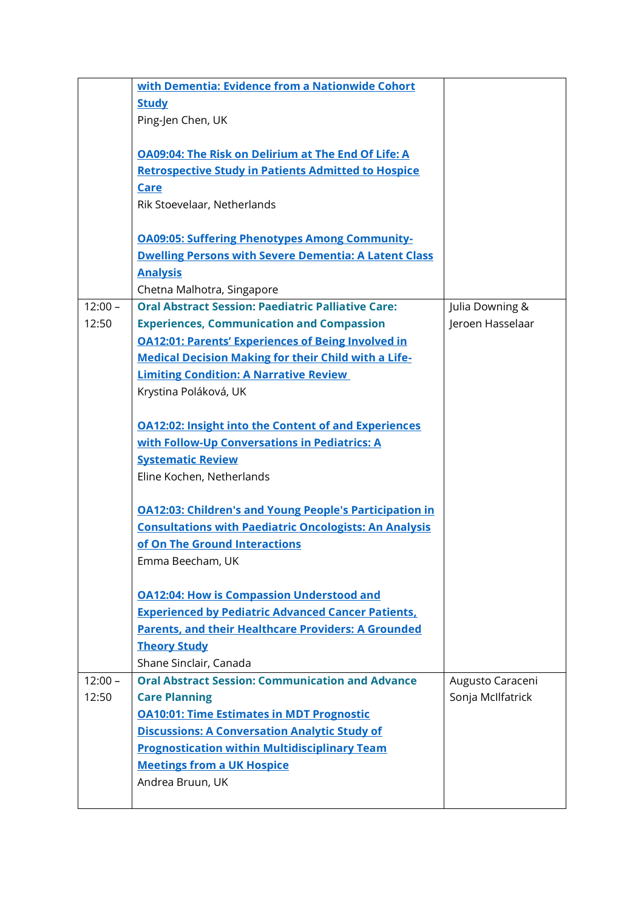|           | with Dementia: Evidence from a Nationwide Cohort               |                   |
|-----------|----------------------------------------------------------------|-------------------|
|           | <b>Study</b>                                                   |                   |
|           | Ping-Jen Chen, UK                                              |                   |
|           |                                                                |                   |
|           | <b>OA09:04: The Risk on Delirium at The End Of Life: A</b>     |                   |
|           | <b>Retrospective Study in Patients Admitted to Hospice</b>     |                   |
|           | <b>Care</b>                                                    |                   |
|           | Rik Stoevelaar, Netherlands                                    |                   |
|           | <b>OA09:05: Suffering Phenotypes Among Community-</b>          |                   |
|           | <b>Dwelling Persons with Severe Dementia: A Latent Class</b>   |                   |
|           | <b>Analysis</b>                                                |                   |
|           | Chetna Malhotra, Singapore                                     |                   |
| $12:00 -$ | <b>Oral Abstract Session: Paediatric Palliative Care:</b>      | Julia Downing &   |
| 12:50     | <b>Experiences, Communication and Compassion</b>               | Jeroen Hasselaar  |
|           | <b>OA12:01: Parents' Experiences of Being Involved in</b>      |                   |
|           | <b>Medical Decision Making for their Child with a Life-</b>    |                   |
|           | <b>Limiting Condition: A Narrative Review</b>                  |                   |
|           | Krystina Poláková, UK                                          |                   |
|           |                                                                |                   |
|           | <b>OA12:02: Insight into the Content of and Experiences</b>    |                   |
|           | with Follow-Up Conversations in Pediatrics: A                  |                   |
|           | <b>Systematic Review</b>                                       |                   |
|           | Eline Kochen, Netherlands                                      |                   |
|           |                                                                |                   |
|           | <b>OA12:03: Children's and Young People's Participation in</b> |                   |
|           | <b>Consultations with Paediatric Oncologists: An Analysis</b>  |                   |
|           | of On The Ground Interactions                                  |                   |
|           | Emma Beecham, UK                                               |                   |
|           |                                                                |                   |
|           | <b>OA12:04: How is Compassion Understood and</b>               |                   |
|           | <b>Experienced by Pediatric Advanced Cancer Patients,</b>      |                   |
|           | <b>Parents, and their Healthcare Providers: A Grounded</b>     |                   |
|           | <b>Theory Study</b>                                            |                   |
|           | Shane Sinclair, Canada                                         |                   |
| $12:00 -$ | <b>Oral Abstract Session: Communication and Advance</b>        | Augusto Caraceni  |
| 12:50     | <b>Care Planning</b>                                           | Sonja McIlfatrick |
|           | <b>OA10:01: Time Estimates in MDT Prognostic</b>               |                   |
|           | <b>Discussions: A Conversation Analytic Study of</b>           |                   |
|           | <b>Prognostication within Multidisciplinary Team</b>           |                   |
|           | <b>Meetings from a UK Hospice</b>                              |                   |
|           | Andrea Bruun, UK                                               |                   |
|           |                                                                |                   |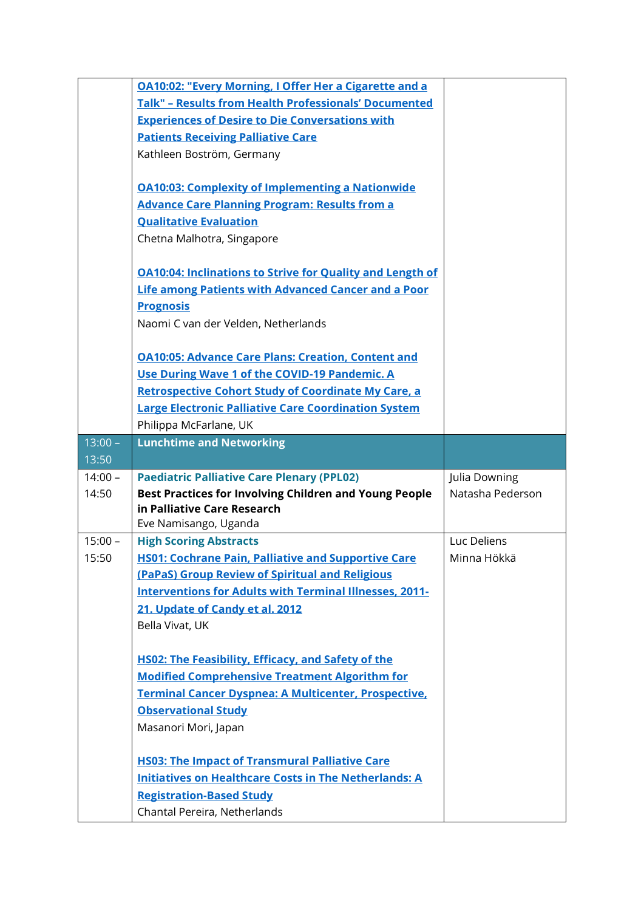|           | <b>OA10:02: "Every Morning, I Offer Her a Cigarette and a</b>                      |                  |
|-----------|------------------------------------------------------------------------------------|------------------|
|           | <b>Talk" - Results from Health Professionals' Documented</b>                       |                  |
|           | <b>Experiences of Desire to Die Conversations with</b>                             |                  |
|           | <b>Patients Receiving Palliative Care</b>                                          |                  |
|           | Kathleen Boström, Germany                                                          |                  |
|           |                                                                                    |                  |
|           | <b>OA10:03: Complexity of Implementing a Nationwide</b>                            |                  |
|           | <b>Advance Care Planning Program: Results from a</b>                               |                  |
|           | <b>Qualitative Evaluation</b>                                                      |                  |
|           | Chetna Malhotra, Singapore                                                         |                  |
|           |                                                                                    |                  |
|           | <b>OA10:04: Inclinations to Strive for Quality and Length of</b>                   |                  |
|           | <b>Life among Patients with Advanced Cancer and a Poor</b>                         |                  |
|           | <b>Prognosis</b>                                                                   |                  |
|           | Naomi C van der Velden, Netherlands                                                |                  |
|           |                                                                                    |                  |
|           | <b>OA10:05: Advance Care Plans: Creation, Content and</b>                          |                  |
|           | Use During Wave 1 of the COVID-19 Pandemic. A                                      |                  |
|           | <b>Retrospective Cohort Study of Coordinate My Care, a</b>                         |                  |
|           | <b>Large Electronic Palliative Care Coordination System</b>                        |                  |
|           | Philippa McFarlane, UK                                                             |                  |
| $13:00 -$ | <b>Lunchtime and Networking</b>                                                    |                  |
|           |                                                                                    |                  |
| 13:50     |                                                                                    |                  |
| $14:00 -$ | <b>Paediatric Palliative Care Plenary (PPL02)</b>                                  | Julia Downing    |
| 14:50     | <b>Best Practices for Involving Children and Young People</b>                      | Natasha Pederson |
|           | in Palliative Care Research                                                        |                  |
|           | Eve Namisango, Uganda                                                              |                  |
| $15:00 -$ | <b>High Scoring Abstracts</b>                                                      | Luc Deliens      |
| 15:50     | <b>HS01: Cochrane Pain, Palliative and Supportive Care</b>                         | Minna Hökkä      |
|           | (PaPaS) Group Review of Spiritual and Religious                                    |                  |
|           | <b>Interventions for Adults with Terminal Illnesses, 2011-</b>                     |                  |
|           | 21. Update of Candy et al. 2012                                                    |                  |
|           | Bella Vivat, UK                                                                    |                  |
|           |                                                                                    |                  |
|           | <b>HS02: The Feasibility, Efficacy, and Safety of the</b>                          |                  |
|           | <b>Modified Comprehensive Treatment Algorithm for</b>                              |                  |
|           | Terminal Cancer Dyspnea: A Multicenter, Prospective,<br><b>Observational Study</b> |                  |
|           | Masanori Mori, Japan                                                               |                  |
|           |                                                                                    |                  |
|           | <b>HS03: The Impact of Transmural Palliative Care</b>                              |                  |
|           | <b>Initiatives on Healthcare Costs in The Netherlands: A</b>                       |                  |
|           | <b>Registration-Based Study</b>                                                    |                  |